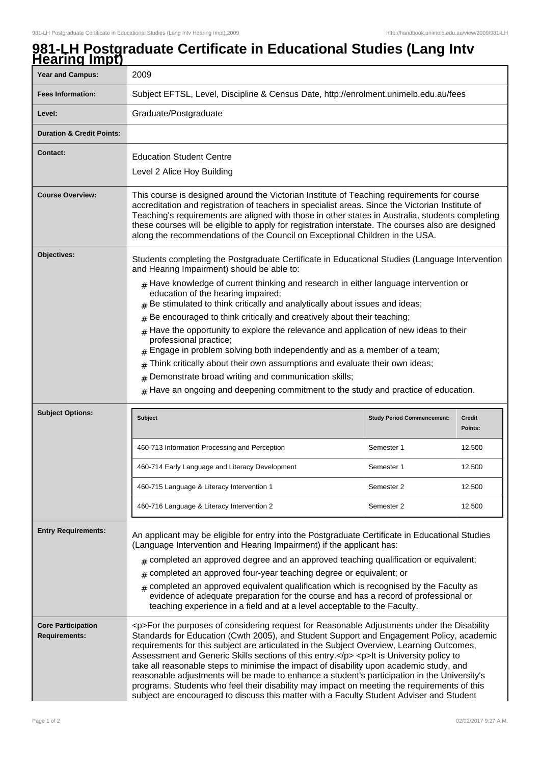## **981-LH Postgraduate Certificate in Educational Studies (Lang Intv Hearing Impt)**

| <b>Year and Campus:</b>                                                | 2009                                                                                                                                                                                                                                                                                                                                                                                                                                                                                                                                                                                                                                                                                                                                                                            |                                   |                          |  |
|------------------------------------------------------------------------|---------------------------------------------------------------------------------------------------------------------------------------------------------------------------------------------------------------------------------------------------------------------------------------------------------------------------------------------------------------------------------------------------------------------------------------------------------------------------------------------------------------------------------------------------------------------------------------------------------------------------------------------------------------------------------------------------------------------------------------------------------------------------------|-----------------------------------|--------------------------|--|
| <b>Fees Information:</b>                                               | Subject EFTSL, Level, Discipline & Census Date, http://enrolment.unimelb.edu.au/fees                                                                                                                                                                                                                                                                                                                                                                                                                                                                                                                                                                                                                                                                                            |                                   |                          |  |
| Level:                                                                 | Graduate/Postgraduate                                                                                                                                                                                                                                                                                                                                                                                                                                                                                                                                                                                                                                                                                                                                                           |                                   |                          |  |
| <b>Duration &amp; Credit Points:</b>                                   |                                                                                                                                                                                                                                                                                                                                                                                                                                                                                                                                                                                                                                                                                                                                                                                 |                                   |                          |  |
| <b>Contact:</b>                                                        | <b>Education Student Centre</b><br>Level 2 Alice Hoy Building                                                                                                                                                                                                                                                                                                                                                                                                                                                                                                                                                                                                                                                                                                                   |                                   |                          |  |
| <b>Course Overview:</b>                                                | This course is designed around the Victorian Institute of Teaching requirements for course<br>accreditation and registration of teachers in specialist areas. Since the Victorian Institute of<br>Teaching's requirements are aligned with those in other states in Australia, students completing<br>these courses will be eligible to apply for registration interstate. The courses also are designed<br>along the recommendations of the Council on Exceptional Children in the USA.                                                                                                                                                                                                                                                                                        |                                   |                          |  |
| Objectives:                                                            | Students completing the Postgraduate Certificate in Educational Studies (Language Intervention<br>and Hearing Impairment) should be able to:                                                                                                                                                                                                                                                                                                                                                                                                                                                                                                                                                                                                                                    |                                   |                          |  |
|                                                                        | $*$ Have knowledge of current thinking and research in either language intervention or<br>education of the hearing impaired;<br>Be stimulated to think critically and analytically about issues and ideas;                                                                                                                                                                                                                                                                                                                                                                                                                                                                                                                                                                      |                                   |                          |  |
|                                                                        | Be encouraged to think critically and creatively about their teaching;<br>#                                                                                                                                                                                                                                                                                                                                                                                                                                                                                                                                                                                                                                                                                                     |                                   |                          |  |
|                                                                        | Have the opportunity to explore the relevance and application of new ideas to their<br>professional practice;<br>Engage in problem solving both independently and as a member of a team;                                                                                                                                                                                                                                                                                                                                                                                                                                                                                                                                                                                        |                                   |                          |  |
|                                                                        | Think critically about their own assumptions and evaluate their own ideas;<br>#                                                                                                                                                                                                                                                                                                                                                                                                                                                                                                                                                                                                                                                                                                 |                                   |                          |  |
|                                                                        | Demonstrate broad writing and communication skills;<br>#                                                                                                                                                                                                                                                                                                                                                                                                                                                                                                                                                                                                                                                                                                                        |                                   |                          |  |
|                                                                        | Have an ongoing and deepening commitment to the study and practice of education.                                                                                                                                                                                                                                                                                                                                                                                                                                                                                                                                                                                                                                                                                                |                                   |                          |  |
| <b>Subject Options:</b>                                                |                                                                                                                                                                                                                                                                                                                                                                                                                                                                                                                                                                                                                                                                                                                                                                                 |                                   |                          |  |
|                                                                        | <b>Subject</b>                                                                                                                                                                                                                                                                                                                                                                                                                                                                                                                                                                                                                                                                                                                                                                  | <b>Study Period Commencement:</b> | <b>Credit</b><br>Points: |  |
|                                                                        | 460-713 Information Processing and Perception                                                                                                                                                                                                                                                                                                                                                                                                                                                                                                                                                                                                                                                                                                                                   | Semester 1                        | 12.500                   |  |
|                                                                        | 460-714 Early Language and Literacy Development                                                                                                                                                                                                                                                                                                                                                                                                                                                                                                                                                                                                                                                                                                                                 | Semester 1                        | 12.500                   |  |
|                                                                        | 460-715 Language & Literacy Intervention 1                                                                                                                                                                                                                                                                                                                                                                                                                                                                                                                                                                                                                                                                                                                                      | Semester 2                        | 12.500                   |  |
|                                                                        | 460-716 Language & Literacy Intervention 2                                                                                                                                                                                                                                                                                                                                                                                                                                                                                                                                                                                                                                                                                                                                      | Semester 2                        | 12.500                   |  |
| <b>Entry Requirements:</b>                                             | An applicant may be eligible for entry into the Postgraduate Certificate in Educational Studies<br>(Language Intervention and Hearing Impairment) if the applicant has:                                                                                                                                                                                                                                                                                                                                                                                                                                                                                                                                                                                                         |                                   |                          |  |
|                                                                        | $#$ completed an approved degree and an approved teaching qualification or equivalent;                                                                                                                                                                                                                                                                                                                                                                                                                                                                                                                                                                                                                                                                                          |                                   |                          |  |
| completed an approved four-year teaching degree or equivalent; or<br># |                                                                                                                                                                                                                                                                                                                                                                                                                                                                                                                                                                                                                                                                                                                                                                                 |                                   |                          |  |
|                                                                        | completed an approved equivalent qualification which is recognised by the Faculty as<br>evidence of adequate preparation for the course and has a record of professional or<br>teaching experience in a field and at a level acceptable to the Faculty.                                                                                                                                                                                                                                                                                                                                                                                                                                                                                                                         |                                   |                          |  |
| <b>Core Participation</b><br><b>Requirements:</b>                      | <p>For the purposes of considering request for Reasonable Adjustments under the Disability<br/>Standards for Education (Cwth 2005), and Student Support and Engagement Policy, academic<br/>requirements for this subject are articulated in the Subject Overview, Learning Outcomes,<br/>Assessment and Generic Skills sections of this entry.</p> <p>lt is University policy to<br/>take all reasonable steps to minimise the impact of disability upon academic study, and<br/>reasonable adjustments will be made to enhance a student's participation in the University's<br/>programs. Students who feel their disability may impact on meeting the requirements of this<br/>subject are encouraged to discuss this matter with a Faculty Student Adviser and Student</p> |                                   |                          |  |